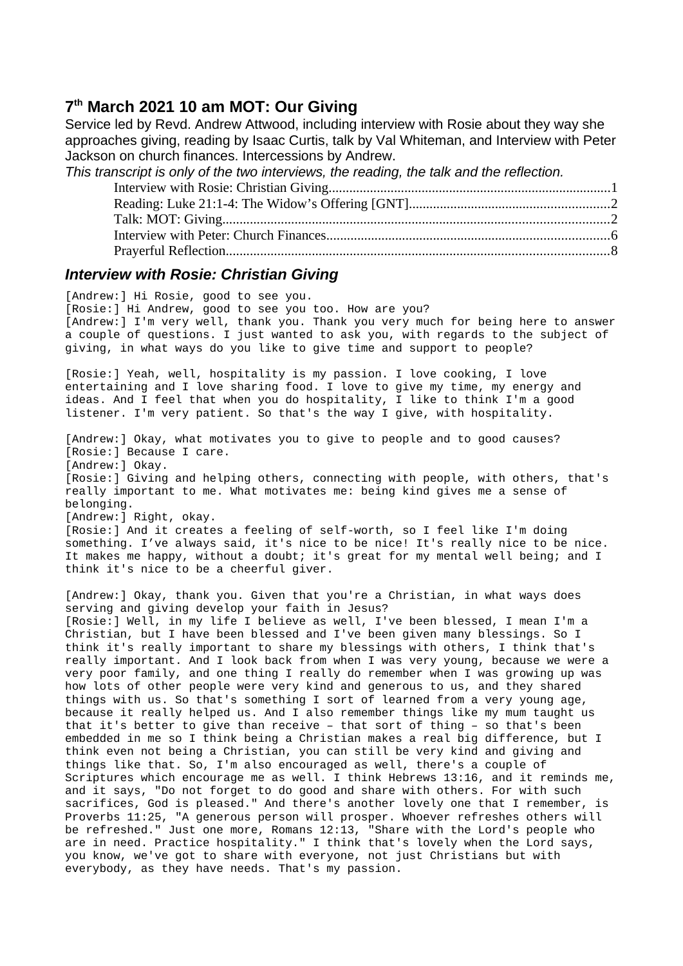# **7 th March 2021 10 am MOT: Our Giving**

Service led by Revd. Andrew Attwood, including interview with Rosie about they way she approaches giving, reading by Isaac Curtis, talk by Val Whiteman, and Interview with Peter Jackson on church finances. Intercessions by Andrew.

| This transcript is only of the two interviews, the reading, the talk and the reflection. |
|------------------------------------------------------------------------------------------|
|                                                                                          |
|                                                                                          |
|                                                                                          |
|                                                                                          |
|                                                                                          |

#### <span id="page-0-0"></span>*Interview with Rosie: Christian Giving*

[Andrew:] Hi Rosie, good to see you. [Rosie:] Hi Andrew, good to see you too. How are you? [Andrew:] I'm very well, thank you. Thank you very much for being here to answer a couple of questions. I just wanted to ask you, with regards to the subject of giving, in what ways do you like to give time and support to people?

[Rosie:] Yeah, well, hospitality is my passion. I love cooking, I love entertaining and I love sharing food. I love to give my time, my energy and ideas. And I feel that when you do hospitality, I like to think I'm a good listener. I'm very patient. So that's the way I give, with hospitality.

[Andrew:] Okay, what motivates you to give to people and to good causes? [Rosie:] Because I care. [Andrew:] Okay. [Rosie:] Giving and helping others, connecting with people, with others, that's really important to me. What motivates me: being kind gives me a sense of belonging. [Andrew:] Right, okay.

[Rosie:] And it creates a feeling of self-worth, so I feel like I'm doing something. I've always said, it's nice to be nice! It's really nice to be nice. It makes me happy, without a doubt; it's great for my mental well being; and I think it's nice to be a cheerful giver.

[Andrew:] Okay, thank you. Given that you're a Christian, in what ways does serving and giving develop your faith in Jesus?

[Rosie:] Well, in my life I believe as well, I've been blessed, I mean I'm a Christian, but I have been blessed and I've been given many blessings. So I think it's really important to share my blessings with others, I think that's really important. And I look back from when I was very young, because we were a very poor family, and one thing I really do remember when I was growing up was how lots of other people were very kind and generous to us, and they shared things with us. So that's something I sort of learned from a very young age, because it really helped us. And I also remember things like my mum taught us that it's better to give than receive – that sort of thing – so that's been embedded in me so I think being a Christian makes a real big difference, but I think even not being a Christian, you can still be very kind and giving and things like that. So, I'm also encouraged as well, there's a couple of Scriptures which encourage me as well. I think Hebrews 13:16, and it reminds me, and it says, "Do not forget to do good and share with others. For with such sacrifices, God is pleased." And there's another lovely one that I remember, is Proverbs 11:25, "A generous person will prosper. Whoever refreshes others will be refreshed." Just one more, Romans 12:13, "Share with the Lord's people who are in need. Practice hospitality." I think that's lovely when the Lord says, you know, we've got to share with everyone, not just Christians but with everybody, as they have needs. That's my passion.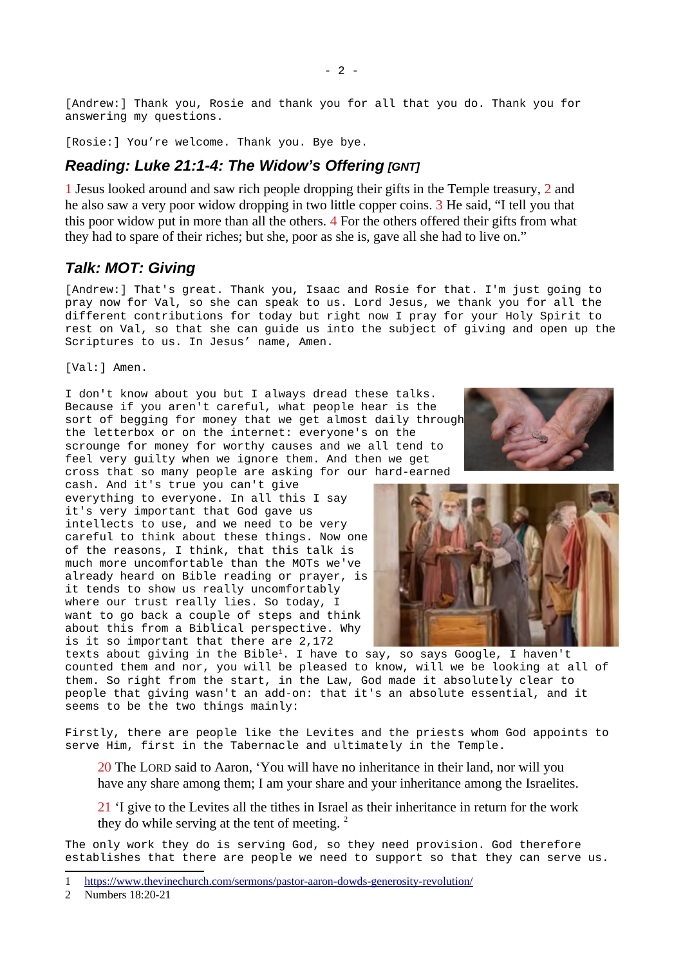[Andrew:] Thank you, Rosie and thank you for all that you do. Thank you for answering my questions.

[Rosie:] You're welcome. Thank you. Bye bye.

### <span id="page-1-1"></span>*Reading: Luke 21:1-4: The Widow's Offering [GNT]*

1 Jesus looked around and saw rich people dropping their gifts in the Temple treasury, 2 and he also saw a very poor widow dropping in two little copper coins. 3 He said, "I tell you that this poor widow put in more than all the others. 4 For the others offered their gifts from what they had to spare of their riches; but she, poor as she is, gave all she had to live on."

# <span id="page-1-0"></span>*Talk: MOT: Giving*

[Andrew:] That's great. Thank you, Isaac and Rosie for that. I'm just going to pray now for Val, so she can speak to us. Lord Jesus, we thank you for all the different contributions for today but right now I pray for your Holy Spirit to rest on Val, so that she can guide us into the subject of giving and open up the Scriptures to us. In Jesus' name, Amen.

[Val:] Amen.

I don't know about you but I always dread these talks. Because if you aren't careful, what people hear is the sort of begging for money that we get almost daily through the letterbox or on the internet: everyone's on the scrounge for money for worthy causes and we all tend to feel very guilty when we ignore them. And then we get cross that so many people are asking for our hard-earned

cash. And it's true you can't give everything to everyone. In all this I say it's very important that God gave us intellects to use, and we need to be very careful to think about these things. Now one of the reasons, I think, that this talk is much more uncomfortable than the MOTs we've already heard on Bible reading or prayer, is it tends to show us really uncomfortably where our trust really lies. So today, I want to go back a couple of steps and think about this from a Biblical perspective. Why is it so important that there are 2,172





texts about giving in the Bible[1](#page-1-2). I have to say, so says Google, I haven't counted them and nor, you will be pleased to know, will we be looking at all of them. So right from the start, in the Law, God made it absolutely clear to people that giving wasn't an add-on: that it's an absolute essential, and it seems to be the two things mainly:

Firstly, there are people like the Levites and the priests whom God appoints to serve Him, first in the Tabernacle and ultimately in the Temple.

20 The LORD said to Aaron, 'You will have no inheritance in their land, nor will you have any share among them; I am your share and your inheritance among the Israelites.

21 'I give to the Levites all the tithes in Israel as their inheritance in return for the work they do while serving at the tent of meeting.  $2^2$  $2^2$ 

The only work they do is serving God, so they need provision. God therefore establishes that there are people we need to support so that they can serve us.

<span id="page-1-2"></span><sup>1</sup><https://www.thevinechurch.com/sermons/pastor-aaron-dowds-generosity-revolution/>

<span id="page-1-3"></span><sup>2</sup> Numbers 18:20-21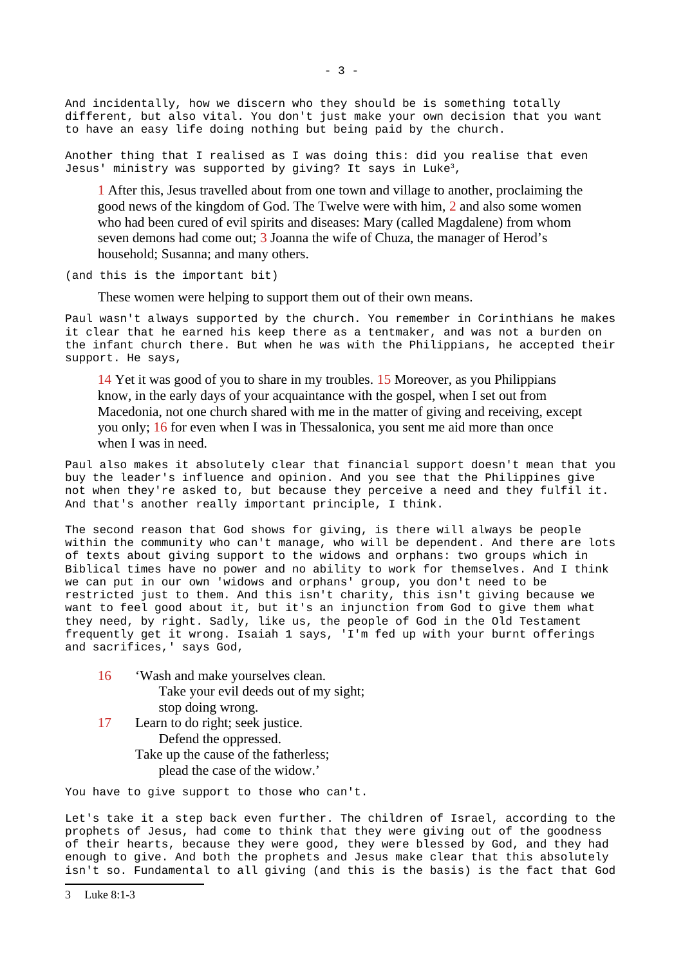And incidentally, how we discern who they should be is something totally different, but also vital. You don't just make your own decision that you want to have an easy life doing nothing but being paid by the church.

Another thing that I realised as I was doing this: did you realise that even Jesus' ministry was supported by giving? It says in Luke<sup>[3](#page-2-0)</sup>,

1 After this, Jesus travelled about from one town and village to another, proclaiming the good news of the kingdom of God. The Twelve were with him, 2 and also some women who had been cured of evil spirits and diseases: Mary (called Magdalene) from whom seven demons had come out; 3 Joanna the wife of Chuza, the manager of Herod's household; Susanna; and many others.

(and this is the important bit)

These women were helping to support them out of their own means.

Paul wasn't always supported by the church. You remember in Corinthians he makes it clear that he earned his keep there as a tentmaker, and was not a burden on the infant church there. But when he was with the Philippians, he accepted their support. He says,

14 Yet it was good of you to share in my troubles. 15 Moreover, as you Philippians know, in the early days of your acquaintance with the gospel, when I set out from Macedonia, not one church shared with me in the matter of giving and receiving, except you only; 16 for even when I was in Thessalonica, you sent me aid more than once when I was in need.

Paul also makes it absolutely clear that financial support doesn't mean that you buy the leader's influence and opinion. And you see that the Philippines give not when they're asked to, but because they perceive a need and they fulfil it. And that's another really important principle, I think.

The second reason that God shows for giving, is there will always be people within the community who can't manage, who will be dependent. And there are lots of texts about giving support to the widows and orphans: two groups which in Biblical times have no power and no ability to work for themselves. And I think we can put in our own 'widows and orphans' group, you don't need to be restricted just to them. And this isn't charity, this isn't giving because we want to feel good about it, but it's an injunction from God to give them what they need, by right. Sadly, like us, the people of God in the Old Testament frequently get it wrong. Isaiah 1 says, 'I'm fed up with your burnt offerings and sacrifices,' says God,

- 16 'Wash and make yourselves clean. Take your evil deeds out of my sight; stop doing wrong.
- 17 Learn to do right; seek justice. Defend the oppressed. Take up the cause of the fatherless; plead the case of the widow.'

You have to give support to those who can't.

<span id="page-2-0"></span>Let's take it a step back even further. The children of Israel, according to the prophets of Jesus, had come to think that they were giving out of the goodness of their hearts, because they were good, they were blessed by God, and they had enough to give. And both the prophets and Jesus make clear that this absolutely isn't so. Fundamental to all giving (and this is the basis) is the fact that God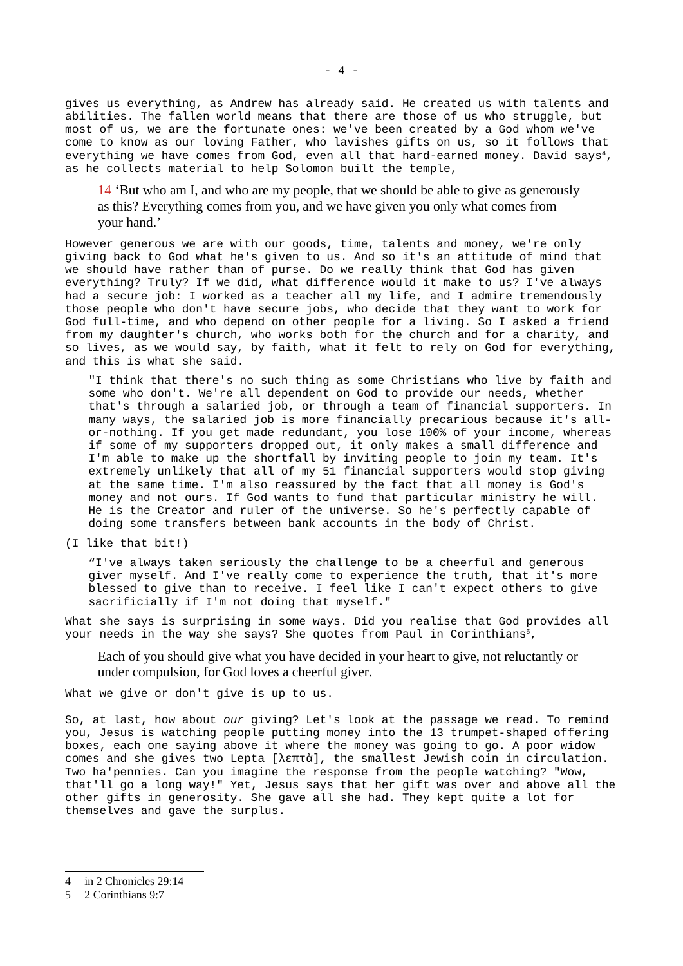gives us everything, as Andrew has already said. He created us with talents and abilities. The fallen world means that there are those of us who struggle, but most of us, we are the fortunate ones: we've been created by a God whom we've come to know as our loving Father, who lavishes gifts on us, so it follows that everything we have comes from God, even all that hard-earned money. David says<sup>[4](#page-3-0)</sup>, as he collects material to help Solomon built the temple,

14 'But who am I, and who are my people, that we should be able to give as generously as this? Everything comes from you, and we have given you only what comes from your hand.'

However generous we are with our goods, time, talents and money, we're only giving back to God what he's given to us. And so it's an attitude of mind that we should have rather than of purse. Do we really think that God has given everything? Truly? If we did, what difference would it make to us? I've always had a secure job: I worked as a teacher all my life, and I admire tremendously those people who don't have secure jobs, who decide that they want to work for God full-time, and who depend on other people for a living. So I asked a friend from my daughter's church, who works both for the church and for a charity, and so lives, as we would say, by faith, what it felt to rely on God for everything, and this is what she said.

"I think that there's no such thing as some Christians who live by faith and some who don't. We're all dependent on God to provide our needs, whether that's through a salaried job, or through a team of financial supporters. In many ways, the salaried job is more financially precarious because it's allor-nothing. If you get made redundant, you lose 100% of your income, whereas if some of my supporters dropped out, it only makes a small difference and I'm able to make up the shortfall by inviting people to join my team. It's extremely unlikely that all of my 51 financial supporters would stop giving at the same time. I'm also reassured by the fact that all money is God's money and not ours. If God wants to fund that particular ministry he will. He is the Creator and ruler of the universe. So he's perfectly capable of doing some transfers between bank accounts in the body of Christ.

"I've always taken seriously the challenge to be a cheerful and generous giver myself. And I've really come to experience the truth, that it's more blessed to give than to receive. I feel like I can't expect others to give sacrificially if I'm not doing that myself."

What she says is surprising in some ways. Did you realise that God provides all your needs in the way she says? She quotes from Paul in Corinthians<sup>[5](#page-3-1)</sup>,

Each of you should give what you have decided in your heart to give, not reluctantly or under compulsion, for God loves a cheerful giver.

What we give or don't give is up to us.

So, at last, how about *our* giving? Let's look at the passage we read. To remind you, Jesus is watching people putting money into the 13 trumpet-shaped offering boxes, each one saying above it where the money was going to go. A poor widow comes and she gives two Lepta [λεπτὰ], the smallest Jewish coin in circulation. Two ha'pennies. Can you imagine the response from the people watching? "Wow, that'll go a long way!" Yet, Jesus says that her gift was over and above all the other gifts in generosity. She gave all she had. They kept quite a lot for themselves and gave the surplus.

<sup>(</sup>I like that bit!)

<span id="page-3-0"></span><sup>4</sup> in 2 Chronicles 29:14

<span id="page-3-1"></span><sup>5</sup> 2 Corinthians 9:7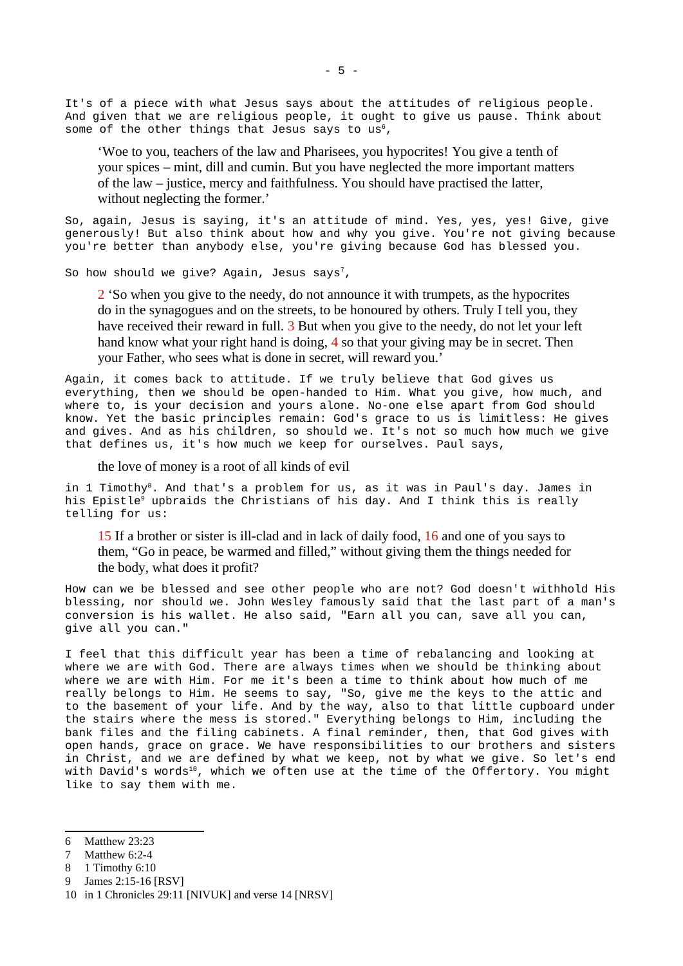It's of a piece with what Jesus says about the attitudes of religious people. And given that we are religious people, it ought to give us pause. Think about some of the other things that Jesus says to us<sup> $6$ </sup>,

'Woe to you, teachers of the law and Pharisees, you hypocrites! You give a tenth of your spices – mint, dill and cumin. But you have neglected the more important matters of the law – justice, mercy and faithfulness. You should have practised the latter, without neglecting the former.'

So, again, Jesus is saying, it's an attitude of mind. Yes, yes, yes! Give, give generously! But also think about how and why you give. You're not giving because you're better than anybody else, you're giving because God has blessed you.

So how should we give? Again, Jesus says<sup>[7](#page-4-1)</sup>,

2 'So when you give to the needy, do not announce it with trumpets, as the hypocrites do in the synagogues and on the streets, to be honoured by others. Truly I tell you, they have received their reward in full. 3 But when you give to the needy, do not let your left hand know what your right hand is doing, 4 so that your giving may be in secret. Then your Father, who sees what is done in secret, will reward you.'

Again, it comes back to attitude. If we truly believe that God gives us everything, then we should be open-handed to Him. What you give, how much, and where to, is your decision and yours alone. No-one else apart from God should know. Yet the basic principles remain: God's grace to us is limitless: He gives and gives. And as his children, so should we. It's not so much how much we give that defines us, it's how much we keep for ourselves. Paul says,

the love of money is a root of all kinds of evil

in 1 Timothy<sup>[8](#page-4-2)</sup>. And that's a problem for us, as it was in Paul's day. James in his Epistle<sup>[9](#page-4-3)</sup> upbraids the Christians of his day. And I think this is really telling for us:

15 If a brother or sister is ill-clad and in lack of daily food, 16 and one of you says to them, "Go in peace, be warmed and filled," without giving them the things needed for the body, what does it profit?

How can we be blessed and see other people who are not? God doesn't withhold His blessing, nor should we. John Wesley famously said that the last part of a man's conversion is his wallet. He also said, "Earn all you can, save all you can, give all you can."

I feel that this difficult year has been a time of rebalancing and looking at where we are with God. There are always times when we should be thinking about where we are with Him. For me it's been a time to think about how much of me really belongs to Him. He seems to say, "So, give me the keys to the attic and to the basement of your life. And by the way, also to that little cupboard under the stairs where the mess is stored." Everything belongs to Him, including the bank files and the filing cabinets. A final reminder, then, that God gives with open hands, grace on grace. We have responsibilities to our brothers and sisters in Christ, and we are defined by what we keep, not by what we give. So let's end with David's words<sup>[10](#page-4-4)</sup>, which we often use at the time of the Offertory. You might like to say them with me.

- <span id="page-4-1"></span>7 Matthew 6:2-4
- <span id="page-4-2"></span>8 1 Timothy 6:10

<span id="page-4-0"></span><sup>6</sup> Matthew 23:23

<span id="page-4-3"></span><sup>9</sup> James 2:15-16 [RSV]

<span id="page-4-4"></span><sup>10</sup> in 1 Chronicles 29:11 [NIVUK] and verse 14 [NRSV]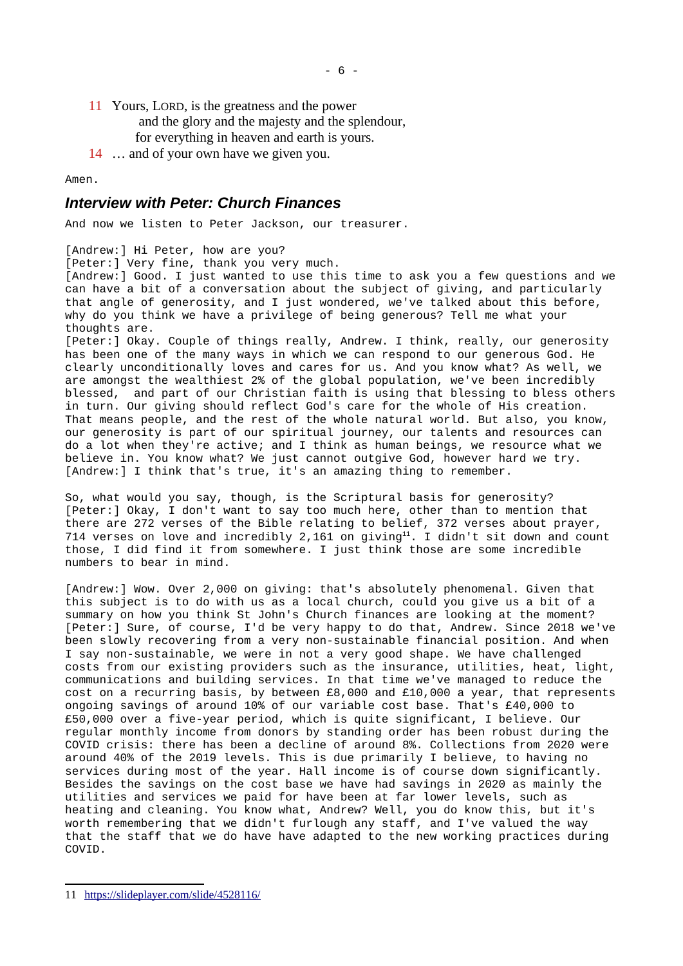- 11 Yours, LORD, is the greatness and the power and the glory and the majesty and the splendour, for everything in heaven and earth is yours.
- 14 … and of your own have we given you.

Amen.

#### <span id="page-5-0"></span>*Interview with Peter: Church Finances*

And now we listen to Peter Jackson, our treasurer.

[Andrew:] Hi Peter, how are you?

[Peter:] Very fine, thank you very much.

[Andrew:] Good. I just wanted to use this time to ask you a few questions and we can have a bit of a conversation about the subject of giving, and particularly that angle of generosity, and I just wondered, we've talked about this before, why do you think we have a privilege of being generous? Tell me what your thoughts are.

[Peter:] Okay. Couple of things really, Andrew. I think, really, our generosity has been one of the many ways in which we can respond to our generous God. He clearly unconditionally loves and cares for us. And you know what? As well, we are amongst the wealthiest 2% of the global population, we've been incredibly blessed, and part of our Christian faith is using that blessing to bless others in turn. Our giving should reflect God's care for the whole of His creation. That means people, and the rest of the whole natural world. But also, you know, our generosity is part of our spiritual journey, our talents and resources can do a lot when they're active; and I think as human beings, we resource what we believe in. You know what? We just cannot outgive God, however hard we try. [Andrew:] I think that's true, it's an amazing thing to remember.

So, what would you say, though, is the Scriptural basis for generosity? [Peter:] Okay, I don't want to say too much here, other than to mention that there are 272 verses of the Bible relating to belief, 372 verses about prayer, 714 verses on love and incredibly 2,161 on giving<sup>[11](#page-5-1)</sup>. I didn't sit down and count those, I did find it from somewhere. I just think those are some incredible numbers to bear in mind.

[Andrew:] Wow. Over 2,000 on giving: that's absolutely phenomenal. Given that this subject is to do with us as a local church, could you give us a bit of a summary on how you think St John's Church finances are looking at the moment? [Peter:] Sure, of course, I'd be very happy to do that, Andrew. Since 2018 we've been slowly recovering from a very non-sustainable financial position. And when I say non-sustainable, we were in not a very good shape. We have challenged costs from our existing providers such as the insurance, utilities, heat, light, communications and building services. In that time we've managed to reduce the cost on a recurring basis, by between £8,000 and £10,000 a year, that represents ongoing savings of around 10% of our variable cost base. That's £40,000 to £50,000 over a five-year period, which is quite significant, I believe. Our regular monthly income from donors by standing order has been robust during the COVID crisis: there has been a decline of around 8%. Collections from 2020 were around 40% of the 2019 levels. This is due primarily I believe, to having no services during most of the year. Hall income is of course down significantly. Besides the savings on the cost base we have had savings in 2020 as mainly the utilities and services we paid for have been at far lower levels, such as heating and cleaning. You know what, Andrew? Well, you do know this, but it's worth remembering that we didn't furlough any staff, and I've valued the way that the staff that we do have have adapted to the new working practices during COVID.

<span id="page-5-1"></span><sup>11</sup><https://slideplayer.com/slide/4528116/>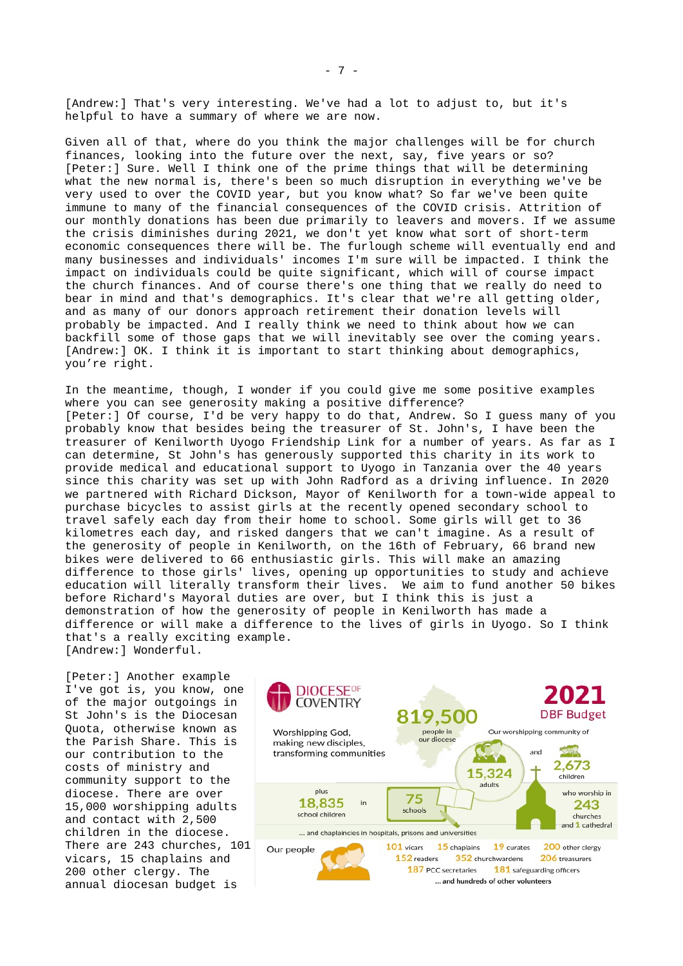[Andrew:] That's very interesting. We've had a lot to adjust to, but it's helpful to have a summary of where we are now.

Given all of that, where do you think the major challenges will be for church finances, looking into the future over the next, say, five years or so? [Peter:] Sure. Well I think one of the prime things that will be determining what the new normal is, there's been so much disruption in everything we've be very used to over the COVID year, but you know what? So far we've been quite immune to many of the financial consequences of the COVID crisis. Attrition of our monthly donations has been due primarily to leavers and movers. If we assume the crisis diminishes during 2021, we don't yet know what sort of short-term economic consequences there will be. The furlough scheme will eventually end and many businesses and individuals' incomes I'm sure will be impacted. I think the impact on individuals could be quite significant, which will of course impact the church finances. And of course there's one thing that we really do need to bear in mind and that's demographics. It's clear that we're all getting older, and as many of our donors approach retirement their donation levels will probably be impacted. And I really think we need to think about how we can backfill some of those gaps that we will inevitably see over the coming years. [Andrew:] OK. I think it is important to start thinking about demographics, you're right.

In the meantime, though, I wonder if you could give me some positive examples where you can see generosity making a positive difference? [Peter:] Of course, I'd be very happy to do that, Andrew. So I guess many of you probably know that besides being the treasurer of St. John's, I have been the treasurer of Kenilworth Uyogo Friendship Link for a number of years. As far as I can determine, St John's has generously supported this charity in its work to provide medical and educational support to Uyogo in Tanzania over the 40 years since this charity was set up with John Radford as a driving influence. In 2020 we partnered with Richard Dickson, Mayor of Kenilworth for a town-wide appeal to purchase bicycles to assist girls at the recently opened secondary school to travel safely each day from their home to school. Some girls will get to 36 kilometres each day, and risked dangers that we can't imagine. As a result of the generosity of people in Kenilworth, on the 16th of February, 66 brand new bikes were delivered to 66 enthusiastic girls. This will make an amazing difference to those girls' lives, opening up opportunities to study and achieve education will literally transform their lives. We aim to fund another 50 bikes before Richard's Mayoral duties are over, but I think this is just a demonstration of how the generosity of people in Kenilworth has made a difference or will make a difference to the lives of girls in Uyogo. So I think that's a really exciting example. [Andrew:] Wonderful.

[Peter:] Another example I've got is, you know, one of the major outgoings in St John's is the Diocesan Quota, otherwise known as the Parish Share. This is our contribution to the costs of ministry and community support to the diocese. There are over 15,000 worshipping adults and contact with 2,500 children in the diocese. There are 243 churches, 101 vicars, 15 chaplains and 200 other clergy. The annual diocesan budget is

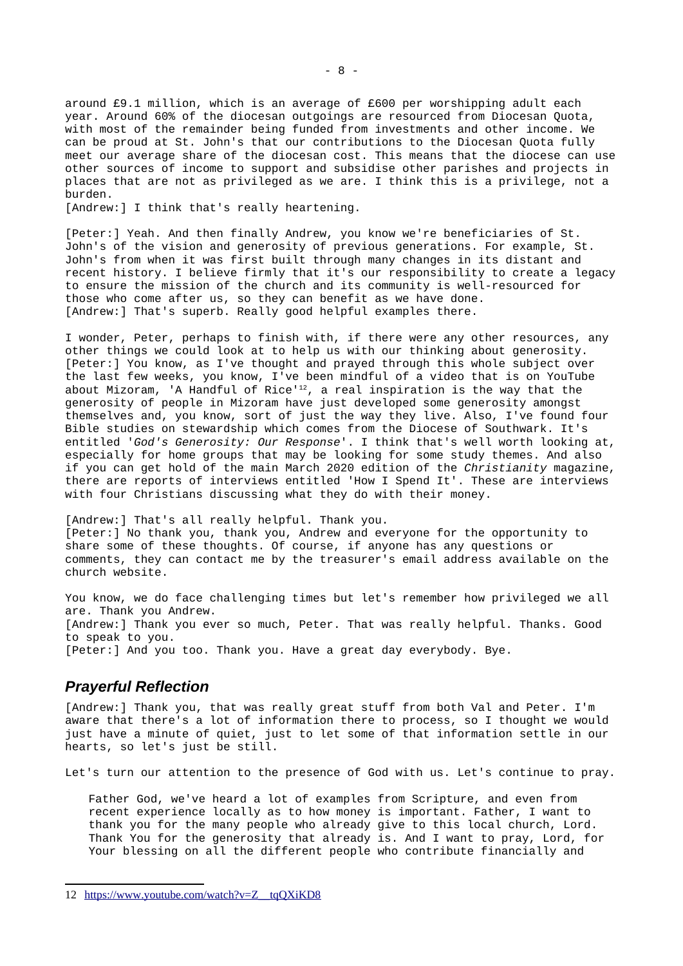around £9.1 million, which is an average of £600 per worshipping adult each year. Around 60% of the diocesan outgoings are resourced from Diocesan Quota, with most of the remainder being funded from investments and other income. We can be proud at St. John's that our contributions to the Diocesan Quota fully meet our average share of the diocesan cost. This means that the diocese can use other sources of income to support and subsidise other parishes and projects in places that are not as privileged as we are. I think this is a privilege, not a burden.

[Andrew:] I think that's really heartening.

[Peter:] Yeah. And then finally Andrew, you know we're beneficiaries of St. John's of the vision and generosity of previous generations. For example, St. John's from when it was first built through many changes in its distant and recent history. I believe firmly that it's our responsibility to create a legacy to ensure the mission of the church and its community is well-resourced for those who come after us, so they can benefit as we have done. [Andrew:] That's superb. Really good helpful examples there.

I wonder, Peter, perhaps to finish with, if there were any other resources, any other things we could look at to help us with our thinking about generosity. [Peter:] You know, as I've thought and prayed through this whole subject over the last few weeks, you know, I've been mindful of a video that is on YouTube about Mizoram, 'A Handful of Rice'<sup>[12](#page-7-1)</sup>, a real inspiration is the way that the generosity of people in Mizoram have just developed some generosity amongst themselves and, you know, sort of just the way they live. Also, I've found four Bible studies on stewardship which comes from the Diocese of Southwark. It's entitled '*God's Generosity: Our Response*'. I think that's well worth looking at, especially for home groups that may be looking for some study themes. And also if you can get hold of the main March 2020 edition of the *Christianity* magazine, there are reports of interviews entitled 'How I Spend It'. These are interviews with four Christians discussing what they do with their money.

[Andrew:] That's all really helpful. Thank you. [Peter:] No thank you, thank you, Andrew and everyone for the opportunity to share some of these thoughts. Of course, if anyone has any questions or comments, they can contact me by the treasurer's email address available on the church website.

You know, we do face challenging times but let's remember how privileged we all are. Thank you Andrew. [Andrew:] Thank you ever so much, Peter. That was really helpful. Thanks. Good to speak to you. [Peter:] And you too. Thank you. Have a great day everybody. Bye.

### <span id="page-7-0"></span>*Prayerful Reflection*

[Andrew:] Thank you, that was really great stuff from both Val and Peter. I'm aware that there's a lot of information there to process, so I thought we would just have a minute of quiet, just to let some of that information settle in our hearts, so let's just be still.

Let's turn our attention to the presence of God with us. Let's continue to pray.

Father God, we've heard a lot of examples from Scripture, and even from recent experience locally as to how money is important. Father, I want to thank you for the many people who already give to this local church, Lord. Thank You for the generosity that already is. And I want to pray, Lord, for Your blessing on all the different people who contribute financially and

<span id="page-7-1"></span><sup>12</sup> [https://www.youtube.com/watch?v=Z\\_\\_tqQXiKD8](https://www.youtube.com/watch?v=Z__tqQXiKD8)